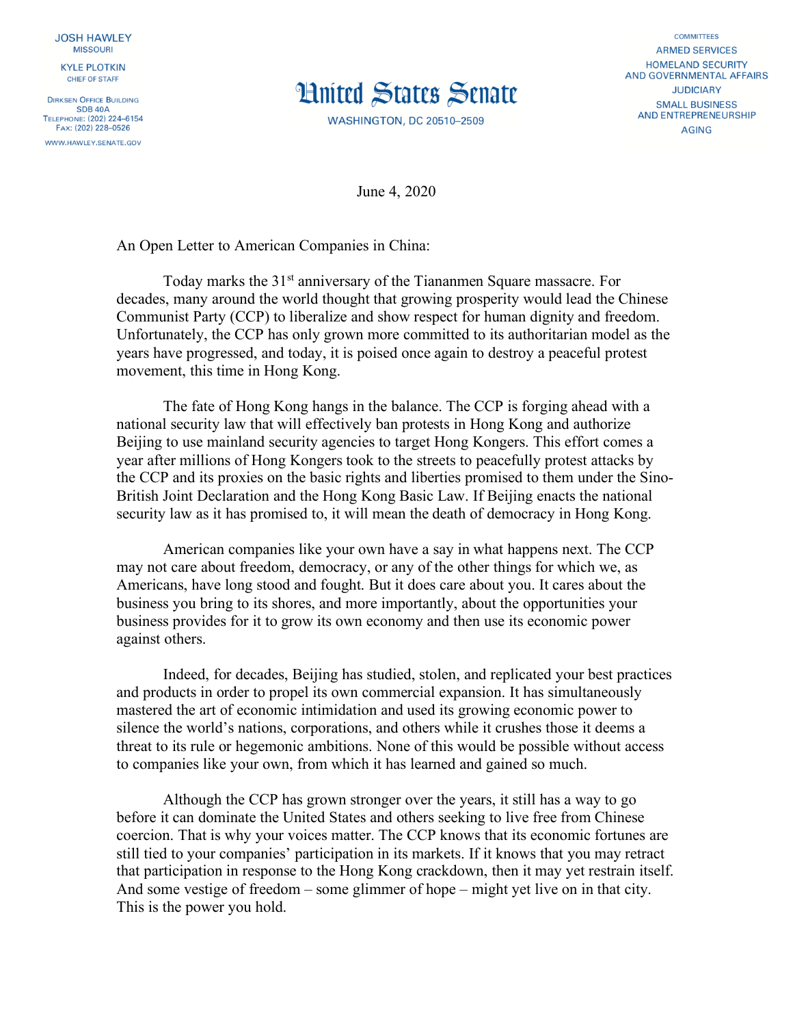**JOSH HAWLEY MISSOURI** 

**KYLE PLOTKIN CHIEF OF STAFF** 

**DIRKSEN OFFICE BUILDING SDB 40A** TELEPHONE: (202) 224-6154<br>FAX: (202) 228-0526 WWW.HAWLEY.SENATE.GOV



**WASHINGTON, DC 20510-2509** 

**COMMITTEES ARMED SERVICES HOMELAND SECURITY** AND GOVERNMENTAL AFFAIRS **JUDICIARY SMALL BUSINESS** AND ENTREPRENEURSHIP **AGING** 

June 4, 2020

An Open Letter to American Companies in China:

Today marks the 31<sup>st</sup> anniversary of the Tiananmen Square massacre. For decades, many around the world thought that growing prosperity would lead the Chinese Communist Party (CCP) to liberalize and show respect for human dignity and freedom. Unfortunately, the CCP has only grown more committed to its authoritarian model as the years have progressed, and today, it is poised once again to destroy a peaceful protest movement, this time in Hong Kong.

The fate of Hong Kong hangs in the balance. The CCP is forging ahead with a national security law that will effectively ban protests in Hong Kong and authorize Beijing to use mainland security agencies to target Hong Kongers. This effort comes a year after millions of Hong Kongers took to the streets to peacefully protest attacks by the CCP and its proxies on the basic rights and liberties promised to them under the Sino-British Joint Declaration and the Hong Kong Basic Law. If Beijing enacts the national security law as it has promised to, it will mean the death of democracy in Hong Kong.

American companies like your own have a say in what happens next. The CCP may not care about freedom, democracy, or any of the other things for which we, as Americans, have long stood and fought. But it does care about you. It cares about the business you bring to its shores, and more importantly, about the opportunities your business provides for it to grow its own economy and then use its economic power against others.

Indeed, for decades, Beijing has studied, stolen, and replicated your best practices and products in order to propel its own commercial expansion. It has simultaneously mastered the art of economic intimidation and used its growing economic power to silence the world's nations, corporations, and others while it crushes those it deems a threat to its rule or hegemonic ambitions. None of this would be possible without access to companies like your own, from which it has learned and gained so much.

Although the CCP has grown stronger over the years, it still has a way to go before it can dominate the United States and others seeking to live free from Chinese coercion. That is why your voices matter. The CCP knows that its economic fortunes are still tied to your companies' participation in its markets. If it knows that you may retract that participation in response to the Hong Kong crackdown, then it may yet restrain itself. And some vestige of freedom – some glimmer of hope – might yet live on in that city. This is the power you hold.